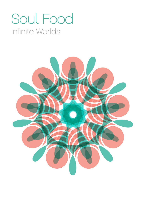# Soul Food Infinite Worlds

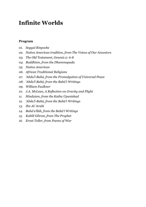## **Infinite Worlds**

#### **Program**

- *01. Sogyal Rinpoche*
- *02. Native American tradition, from The Voices of Our Ancestors*
- *03. The Old Testament, Genesis 2: 6-8*
- *04. Buddhism, from the Dhammapada*
- *05. Native American*
- *06. African Traditional Religions*
- *07. 'Abdu'l-Bahá, from the Promulgation of Universal Peace*
- *08. 'Abdu'l-Bahá, from the Bahá'í Writings*
- *09. William Faulkner*
- *10. J.A. McLean, A Reflection on Gravity and Flight*
- *11. Hinduism, from the Katha Upanishad*
- *12. 'Abdu'l-Bahá, from the Bahá'í Writings*
- *13. Ibn Al-'Arabi*
- *14. Bahá'u'lláh, from the Bahá'í Writings*
- *15. Kahlil Gibran, from The Prophet*
- *16. Ernst Toller, from Poems of War*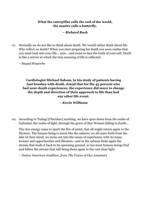#### **What the caterpillar calls the end of the world, the master calls a butterfly.**

#### *– Richard Bach*

01. Normally we do not like to think about death. We would rather think about life. Why reflect on death? When you start preparing for death you soon realize that you must look into your life... now... and come to face the truth of your self. Death is like a mirror in which the true meaning of life is reflected.

– *Sogyal Rinpoche*

#### **Cardiologist Michael Sabom, in his study of patients having had brushes with death, found that for the 43 percent who had near-death experiences, the experience did more to change the depth and direction of their approach to life than had any other life event.**

#### *– Kevin Williams*

02. According to Tsalagi [Cherokee] teaching, we have spun down from the realm of Galunlati, the realm of light, through the grace of Star Woman falling to Earth…

The star energy came to spark the fire of mind, that all might return again to the Mystery. The human being is much like the salmon; we all come forth from the lake of clear mind; we swim out into the ocean of experience, with its many lessons and opportunities and illusions—and as the salmon finds again the stream that leads it back to its spawning ground, so too must human beings find and follow the stream that will bring them again to the vast clear light.

– *Native American tradition, from The Voices of Our Ancestors*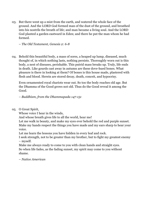03. But there went up a mist from the earth, and watered the whole face of the ground. And the LORD God formed man of the dust of the ground, and breathed into his nostrils the breath of life; and man became a living soul. And the LORD God planted a garden eastward in Eden; and there he put the man whom he had formed.

– *The Old Testament, Genesis 2: 6-8*

04. Behold this beautiful body, a mass of sores, a heaped up lump, diseased, much thought of, in which nothing lasts, nothing persists. Thoroughly worn out is this body, a nest of diseases, perishable. This putrid mass breaks up. Truly, life ends in death. Like gourds cast away in autumn are these dove-hued bones. What pleasure is there in looking at them? Of bones is this house made, plastered with flesh and blood. Herein are stored decay, death, conceit, and hypocrisy.

Even ornamented royal chariots wear out. So too the body reaches old age. But the Dhamma of the Good grows not old. Thus do the Good reveal it among the Good.

– *Buddhism, from the Dhammapada 147-151*

05. O Great Spirit,

Whose voice I hear in the winds,

And whose breath gives life to all the world, hear me!

Let me walk in beauty, and make my eyes ever behold the red and purple sunset. Make my hands respect the things you have made and my ears sharp to hear your voice.

Let me learn the lessons you have hidden in every leaf and rock.

I seek strength, not to be greater than my brother, but to fight my greatest enemy – myself.

Make me always ready to come to you with clean hands and straight eyes. So when life fades, as the fading sunset, my spirit may come to you without shame.

– *Native American*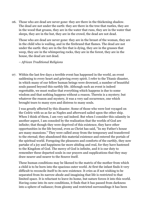06. Those who are dead are never gone: they are there in the thickening shadow. The dead are not under the earth: they are there in the tree that rustles, they are in the wood that groans, they are in the water that runs, they are in the water that sleeps, they are in the hut, they are in the crowd, the dead are not dead.

Those who are dead are never gone: they are in the breast of the woman, they are in the child who is wailing, and in the firebrand that flames. The dead are not under the earth: they are in the fire that is dying, they are in the grasses that weep, they are in the whimpering rocks, they are in the forest, they are in the house, the dead are not dead.

#### – *African Traditional Religions*

07. Within the last few days a terrible event has happened in the world, an event saddening to every heart and grieving every spirit. I refer to the Titanic disaster, in which many of our fellow human beings were drowned, a number of beautiful souls passed beyond this earthly life. Although such an event is indeed regrettable, we must realize that everything which happens is due to some wisdom and that nothing happens without a reason. Therein is a mystery; but whatever the reason and mystery, it was a very sad occurrence, one which brought tears to many eyes and distress to many souls.

I was greatly affected by this disaster. Some of those who were lost voyaged on the Cedric with us as far as Naples and afterward sailed upon the other ship. When I think of them, I am very sad indeed. But when I consider this calamity in another aspect, I am consoled by the realization that the worlds of God are infinite; that though they were deprived of this existence, they have other opportunities in the life beyond, even as Christ has said, "In my Father's house are many mansions." They were called away from the temporary and transferred to the eternal; they abandoned this material existence and entered the portals of the spiritual world. Foregoing the pleasures and comforts of the earthly, they now partake of a joy and happiness far more abiding and real, for they have hastened to the Kingdom of God. The mercy of God is infinite, and it is our duty to remember these departed souls in our prayers and supplications that they may draw nearer and nearer to the Source itself.

These human conditions may be likened to the matrix of the mother from which a child is to be born into the spacious outer world. At first the infant finds it very difficult to reconcile itself to its new existence. It cries as if not wishing to be separated from its narrow abode and imagining that life is restricted to that limited space. It is reluctant to leave its home, but nature forces it into this world. Having come into its new conditions, it finds that it has passed from darkness into a sphere of radiance; from gloomy and restricted surroundings it has been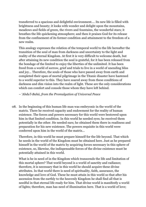transferred to a spacious and delightful environment.... Its new life is filled with brightness and beauty; it looks with wonder and delight upon the mountains, meadows and fields of green, the rivers and fountains, the wonderful stars; it breathes the life quickening atmosphere; and then it praises God for its release from the confinement of its former condition and attainment to the freedom of a new realm.

This analogy expresses the relation of the temporal world to the life hereafter the transition of the soul of man from darkness and uncertainty to the light and reality of the eternal Kingdom. At first it is very difficult to welcome death, but after attaining its new condition the soul is grateful, for it has been released from the bondage of the limited to enjoy the liberties of the unlimited. It has been freed from a world of sorrow, grief and trials to live in a world of unending bliss and joy… Therefore, the souls of those who have passed away from earth and completed their span of mortal pilgrimage in the Titanic disaster have hastened to a world superior to this. They have soared away from these conditions of darkness and dim vision into the realm of light. These are the only considerations which can comfort and console those whom they have left behind.

– *'Abdu'l-Bahá, from the Promulgation of Universal Peace*

08. In the beginning of this human life man was embryonic in the world of the matrix. There he received capacity and endowment for the reality of human existence. The forces and powers necessary for this world were bestowed upon him in that limited condition. In this world he needed eyes; he received them potentially in the other. He needed ears; he obtained them there in readiness and preparation for his new existence. The powers requisite in this world were conferred upon him in the world of the matrix…

Therefore, in this world he must prepare himself for the life beyond. That which he needs in the world of the Kingdom must be obtained here. Just as he prepared himself in the world of the matrix by acquiring forces necessary in this sphere of existence, so, likewise, the indispensable forces of the divine existence must be potentially attained in this world.

What is he in need of in the Kingdom which transcends the life and limitation of this mortal sphere? That world beyond is a world of sanctity and radiance; therefore, it is necessary that in this world he should acquire these divine attributes. In that world there is need of spirituality, faith, assurance, the knowledge and love of God. These he must attain in this world so that after his ascension from the earthly to the heavenly Kingdom he shall find all that is needful in that eternal life ready for him. That divine world is manifestly a world of lights; therefore, man has need of illumination here. That is a world of love;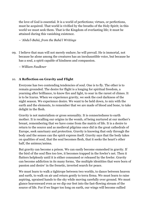the love of God is essential. It is a world of perfections; virtues, or perfections, must be acquired. That world is vivified by the breaths of the Holy Spirit; in this world we must seek them. That is the Kingdom of everlasting life; it must be attained during this vanishing existence.

– *'Abdu'l-Bahá, from the Bahá'í Writings*

09. I believe that man will not merely endure; he will prevail. He is immortal, not because he alone among the creatures has an inexhaustible voice, but because he has a soul, a spirit capable of kindness and compassion.

– *William Faulkner*

#### 10. **A Reflection on Gravity and Flight**

Everyone has two contending tendencies of soul. One is to fly. The other is to remain grounded. The desire for flight is a longing for spiritual freedom, a yearning after brilliance, to know fire and light, to soar in the rarest of climes. It is to be Icarus. When we experience gravity, we seek the cool darkness of the night season. We experience desire. We want to be held down, to mix with the earth and the elements, to remember that we are made of blood and bone, to take delight in the flesh.

Gravity is not materialism or gross sensuality. It is connectedness to earth mother. It is recalling our origins in the womb, of being nurtured at our mother's breast, remembering that we have come from the matrix of life. It is a desire to return to the source and as medieval pilgrims once did in the great cathedrals of Europe, seek sanctuary and protection. Gravity is knowing that only through the body and the senses can the spirit express itself. Gravity says that the body takes on qualities of soul, that the soul becomes flesh, that it seeks the heart's other half, the animus/anima.

But gravity can become a prison. We can easily become enmeshed in gravity. If the bird of the soul flies too low, it becomes trapped in the fowler's net. Then it flutters helplessly until it is either consumed or released by the fowler. Gravity can become addiction in its many forms, 'the multiple identities that were born of passion and desire' in the frenetic, inverted search for peace.

We must learn to walk a tightrope between two worlds, to dance between heaven and earth, to walk on air and return gently to terra firma. We must learn to raise aspiring, upraised hands to the sky while moving carefully over ground. We must glance heavenward even as we dip our feet into the fast-flowing stream of the source of life. For if we linger too long on earth, our wings will become sullied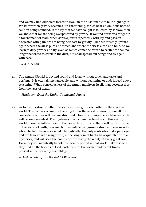and we may find ourselves forced to dwell in the dust, unable to take flight again. We know when gravity becomes life-threatening, for we hear an ominous note of caution being sounded. If the joy that we have sought is followed by sorrow, then we know that we are being overpowered by gravity. If we find ourselves caught in a tournament of fears, when sorrow jousts repeatedly with joy and passion altercates with pain, we are being held fast by gravity. Then we must fly upward again where the air is pure and sweet, and where the sky is clean and blue. As we learn to defy gravity and fly, even as we welcome the return to earth, we shall no longer be forced to dwell in the dust, but shall spread our wings and fly again with ease.

#### – *J.A. McLean*

11. The Atman [Spirit] is beyond sound and form, without touch and taste and perfume. It is eternal, unchangeable, and without beginning or end: indeed above reasoning. When consciousness of the Atman manifests itself, man becomes free from the jaws of death.

– *Hinduism, from the Katha Upanishad, Part 3*

12. As to the question whether the souls will recognize each other in the spiritual world: This fact is certain; for the Kingdom is the world of vision where all the concealed realities will become disclosed. How much more the well-known souls will become manifest. The mysteries of which man is heedless in this earthly world, those he will discover in the heavenly world, and there will he be informed of the secret of truth; how much more will he recognize or discover persons with whom he hath been associated. Undoubtedly, the holy souls who find a pure eye and are favored with insight will, in the kingdom of lights, be acquainted with all mysteries, and will seek the bounty of witnessing the reality of every great soul. Even they will manifestly behold the Beauty of God in that world. Likewise will they find all the friends of God, both those of the former and recent times, present in the heavenly assemblage.

– *'Abdu'l-Bahá, from the Bahá'í Writings*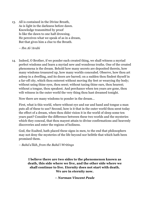13. All is contained in the Divine Breath, As is light in the darkness before dawn. Knowledge transmitted by proof Is like the dawn to one half drowsing. He perceives what we speak of as in a dream, But that gives him a clue to the Breath.

– *Ibn Al-'Arabi*

14. Indeed, O Brother, if we ponder each created thing, we shall witness a myriad perfect wisdoms and learn a myriad new and wondrous truths. One of the created phenomena is the dream. Behold how many secrets are deposited therein, how many wisdoms treasured up, how many worlds concealed. Observe, how thou art asleep in a dwelling, and its doors are barred; on a sudden thou findest thyself in a far-off city, which thou enterest without moving thy feet or wearying thy body; without using thine eyes, thou seest; without taxing thine ears, thou hearest; without a tongue, thou speakest. And perchance when ten years are gone, thou wilt witness in the outer world the very thing thou hast dreamed tonight.

Now there are many wisdoms to ponder in the dream…

First, what is this world, where without eye and ear and hand and tongue a man puts all of these to use? Second, how is it that in the outer world thou seest today the effect of a dream, when thou didst vision it in the world of sleep some ten years past? Consider the difference between these two worlds and the mysteries which they conceal, that thou mayest attain to divine confirmations and heavenly discoveries and enter the regions of holiness.

God, the Exalted, hath placed these signs in men, to the end that philosophers may not deny the mysteries of the life beyond nor belittle that which hath been promised them.

– *Bahá'u'lláh, from the Bahá'í Writings*

**I believe there are two sides to the phenomenon known as death, this side where we live, and the other side where we shall continue to live. Eternity does not start with death. We are in eternity now.**

*– Norman Vincent Peale*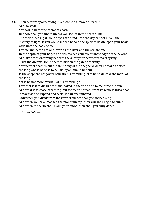15. Then Almitra spoke, saying, "We would ask now of Death."

And he said:

You would know the secret of death.

But how shall you find it unless you seek it in the heart of life?

The owl whose night-bound eyes are blind unto the day cannot unveil the mystery of light. If you would indeed behold the spirit of death, open your heart wide unto the body of life.

For life and death are one, even as the river and the sea are one.

In the depth of your hopes and desires lies your silent knowledge of the beyond; And like seeds dreaming beneath the snow your heart dreams of spring.

Trust the dreams, for in them is hidden the gate to eternity.

Your fear of death is but the trembling of the shepherd when he stands before the king whose hand is to be laid upon him in honour.

Is the shepherd not joyful beneath his trembling, that he shall wear the mark of the king?

Yet is he not more mindful of his trembling?

For what is it to die but to stand naked in the wind and to melt into the sun?

And what is to cease breathing, but to free the breath from its restless tides, that it may rise and expand and seek God unencumbered?

Only when you drink from the river of silence shall you indeed sing.

And when you have reached the mountain top, then you shall begin to climb.

And when the earth shall claim your limbs, then shall you truly dance.

– *Kahlil Gibran*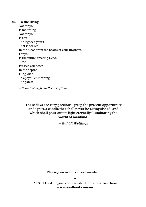#### 16. **To the living**

Not for you Is mourning Not for you Is rest, The legacy's yours That is soaked In the blood from the hearts of your Brothers, For you Is the future-creating Deed. Time Presses you down In the depths Fling wide To a joyfuller morning The gates!

– *Ernst Toller, from Poems of War*

**These days are very precious; grasp the present opportunity and ignite a candle that shall never be extinguished, and which shall pour out its light eternally illuminating the world of mankind!**

*– Bahá'í Writings*

**Please join us for refreshments**

**•** All Soul Food programs are available for free download from **www.soulfood.com.au**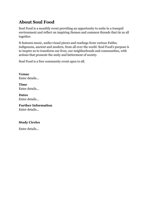### **About Soul Food**

Soul Food is a monthly event providing an opportunity to unite in a tranquil environment and reflect on inspiring themes and common threads that tie us all together.

It features music, audio-visual pieces and readings from various Faiths; indigenous, ancient and modern, from all over the world. Soul Food's purpose is to inspire us to transform our lives, our neighborhoods and communities, with actions that promote the unity and betterment of society.

Soul Food is a free community event open to all.

**Venue** Enter details…

**Time** Enter details…

**Dates** Enter details…

**Further Information** Enter details…

#### **Study Circles**

Enter details…